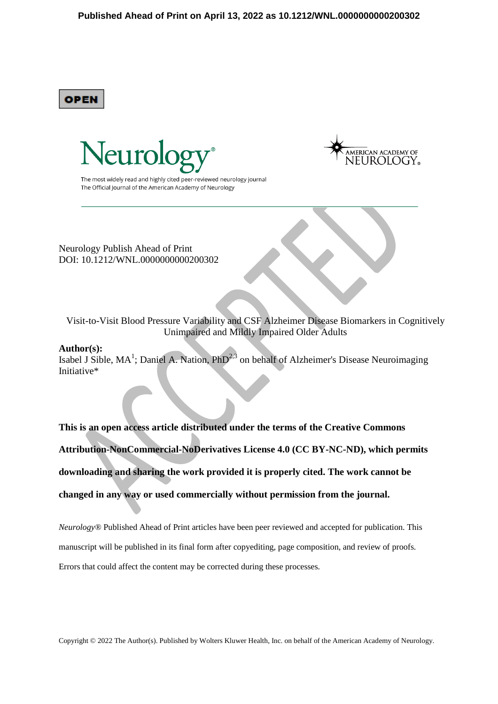**OPEN** 



The most widely read and highly cited peer-reviewed neurology journal The Official Journal of the American Academy of Neurology

Neurology Publish Ahead of Print DOI: 10.1212/WNL.0000000000200302

Visit-to-Visit Blood Pressure Variability and CSF Alzheimer Disease Biomarkers in Cognitively Unimpaired and Mildly Impaired Older Adults

### **Author(s):**

Isabel J Sible, MA<sup>1</sup>; Daniel A. Nation, PhD<sup>2,3</sup> on behalf of Alzheimer's Disease Neuroimaging Initiative\*

**This is an open access article distributed under the terms of the Creative Commons Attribution-NonCommercial-NoDerivatives License 4.0 (CC BY-NC-ND), which permits downloading and sharing the work provided it is properly cited. The work cannot be changed in any way or used commercially without permission from the journal.** 

*Neurology*® Published Ahead of Print articles have been peer reviewed and accepted for publication. This manuscript will be published in its final form after copyediting, page composition, and review of proofs. Errors that could affect the content may be corrected during these processes.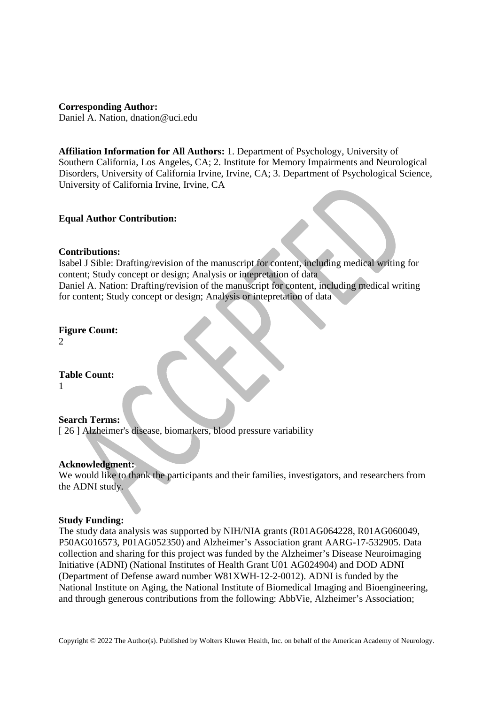**Corresponding Author:** Daniel A. Nation, dnation@uci.edu

**Affiliation Information for All Authors:** 1. Department of Psychology, University of Southern California, Los Angeles, CA; 2. Institute for Memory Impairments and Neurological Disorders, University of California Irvine, Irvine, CA; 3. Department of Psychological Science, University of California Irvine, Irvine, CA

# **Equal Author Contribution:**

# **Contributions:**

Isabel J Sible: Drafting/revision of the manuscript for content, including medical writing for content; Study concept or design; Analysis or intepretation of data Daniel A. Nation: Drafting/revision of the manuscript for content, including medical writing for content; Study concept or design; Analysis or intepretation of data

**Figure Count:** 2

**Table Count:** 1

## **Search Terms:**

[ 26 ] Alzheimer's disease, biomarkers, blood pressure variability

## **Acknowledgment:**

We would like to thank the participants and their families, investigators, and researchers from the ADNI study.

## **Study Funding:**

The study data analysis was supported by NIH/NIA grants (R01AG064228, R01AG060049, P50AG016573, P01AG052350) and Alzheimer's Association grant AARG-17-532905. Data collection and sharing for this project was funded by the Alzheimer's Disease Neuroimaging Initiative (ADNI) (National Institutes of Health Grant U01 AG024904) and DOD ADNI (Department of Defense award number W81XWH-12-2-0012). ADNI is funded by the National Institute on Aging, the National Institute of Biomedical Imaging and Bioengineering, and through generous contributions from the following: AbbVie, Alzheimer's Association;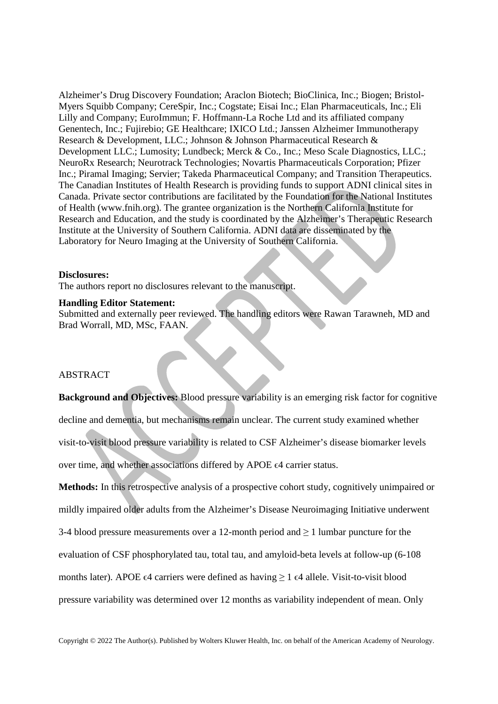Alzheimer's Drug Discovery Foundation; Araclon Biotech; BioClinica, Inc.; Biogen; Bristol-Myers Squibb Company; CereSpir, Inc.; Cogstate; Eisai Inc.; Elan Pharmaceuticals, Inc.; Eli Lilly and Company; EuroImmun; F. Hoffmann-La Roche Ltd and its affiliated company Genentech, Inc.; Fujirebio; GE Healthcare; IXICO Ltd.; Janssen Alzheimer Immunotherapy Research & Development, LLC.; Johnson & Johnson Pharmaceutical Research & Development LLC.; Lumosity; Lundbeck; Merck & Co., Inc.; Meso Scale Diagnostics, LLC.; NeuroRx Research; Neurotrack Technologies; Novartis Pharmaceuticals Corporation; Pfizer Inc.; Piramal Imaging; Servier; Takeda Pharmaceutical Company; and Transition Therapeutics. The Canadian Institutes of Health Research is providing funds to support ADNI clinical sites in Canada. Private sector contributions are facilitated by the Foundation for the National Institutes of Health (www.fnih.org). The grantee organization is the Northern California Institute for Research and Education, and the study is coordinated by the Alzheimer's Therapeutic Research Institute at the University of Southern California. ADNI data are disseminated by the Laboratory for Neuro Imaging at the University of Southern California.

### **Disclosures:**

The authors report no disclosures relevant to the manuscript.

#### **Handling Editor Statement:**

Submitted and externally peer reviewed. The handling editors were Rawan Tarawneh, MD and Brad Worrall, MD, MSc, FAAN.

# **ABSTRACT**

**Background and Objectives:** Blood pressure variability is an emerging risk factor for cognitive decline and dementia, but mechanisms remain unclear. The current study examined whether visit-to-visit blood pressure variability is related to CSF Alzheimer's disease biomarker levels over time, and whether associations differed by APOE ∈4 carrier status.

**Methods:** In this retrospective analysis of a prospective cohort study, cognitively unimpaired or mildly impaired older adults from the Alzheimer's Disease Neuroimaging Initiative underwent 3-4 blood pressure measurements over a 12-month period and  $\geq 1$  lumbar puncture for the evaluation of CSF phosphorylated tau, total tau, and amyloid-beta levels at follow-up (6-108 months later). APOE  $\epsilon$ 4 carriers were defined as having  $\geq 1$   $\epsilon$ 4 allele. Visit-to-visit blood pressure variability was determined over 12 months as variability independent of mean. Only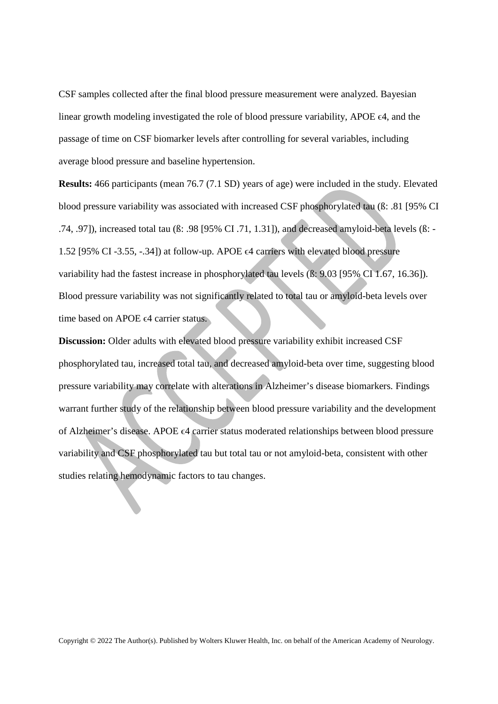CSF samples collected after the final blood pressure measurement were analyzed. Bayesian linear growth modeling investigated the role of blood pressure variability, APOE ϵ4, and the passage of time on CSF biomarker levels after controlling for several variables, including average blood pressure and baseline hypertension.

**Results:** 466 participants (mean 76.7 (7.1 SD) years of age) were included in the study. Elevated blood pressure variability was associated with increased CSF phosphorylated tau (ß: .81 [95% CI .74, .97]), increased total tau (ß: .98 [95% CI .71, 1.31]), and decreased amyloid-beta levels (ß: - 1.52 [95% CI -3.55, -.34]) at follow-up. APOE  $\epsilon$ 4 carriers with elevated blood pressure variability had the fastest increase in phosphorylated tau levels (ß: 9.03 [95% CI 1.67, 16.36]). Blood pressure variability was not significantly related to total tau or amyloid-beta levels over time based on APOE  $\epsilon$ 4 carrier status.

**Discussion:** Older adults with elevated blood pressure variability exhibit increased CSF phosphorylated tau, increased total tau, and decreased amyloid-beta over time, suggesting blood pressure variability may correlate with alterations in Alzheimer's disease biomarkers. Findings warrant further study of the relationship between blood pressure variability and the development of Alzheimer's disease. APOE ϵ4 carrier status moderated relationships between blood pressure variability and CSF phosphorylated tau but total tau or not amyloid-beta, consistent with other studies relating hemodynamic factors to tau changes.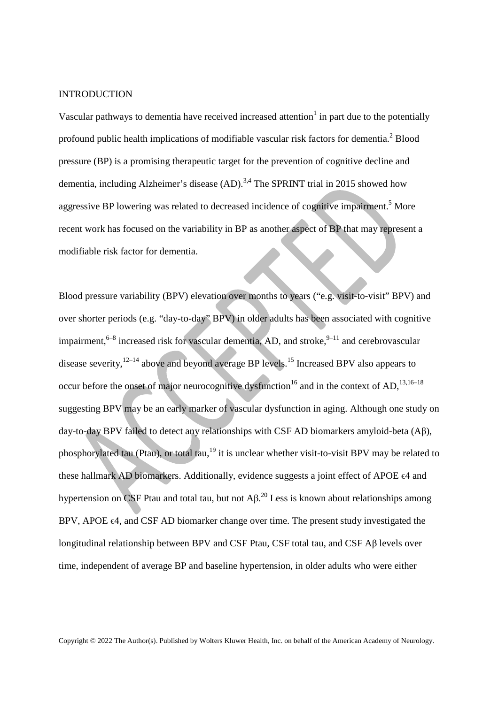### **INTRODUCTION**

Vascular pathways to dementia have received increased attention $<sup>1</sup>$  in part due to the potentially</sup> profound public health implications of modifiable vascular risk factors for dementia.<sup>2</sup> Blood pressure (BP) is a promising therapeutic target for the prevention of cognitive decline and dementia, including Alzheimer's disease (AD).<sup>3,4</sup> The SPRINT trial in 2015 showed how aggressive BP lowering was related to decreased incidence of cognitive impairment.<sup>5</sup> More recent work has focused on the variability in BP as another aspect of BP that may represent a modifiable risk factor for dementia.

Blood pressure variability (BPV) elevation over months to years ("e.g. visit-to-visit" BPV) and over shorter periods (e.g. "day-to-day" BPV) in older adults has been associated with cognitive impairment,  $6-8$  increased risk for vascular dementia, AD, and stroke,  $9-11$  and cerebrovascular disease severity,  $12-14$  above and beyond average BP levels.<sup>15</sup> Increased BPV also appears to occur before the onset of major neurocognitive dysfunction<sup>16</sup> and in the context of AD,<sup>13,16–18</sup> suggesting BPV may be an early marker of vascular dysfunction in aging. Although one study on day-to-day BPV failed to detect any relationships with CSF AD biomarkers amyloid-beta (Aβ), phosphorylated tau (Ptau), or total tau,<sup>19</sup> it is unclear whether visit-to-visit BPV may be related to these hallmark AD biomarkers. Additionally, evidence suggests a joint effect of APOE  $\epsilon$ 4 and hypertension on CSF Ptau and total tau, but not  $AA^{20}$  Less is known about relationships among BPV, APOE  $\epsilon$ 4, and CSF AD biomarker change over time. The present study investigated the longitudinal relationship between BPV and CSF Ptau, CSF total tau, and CSF Aβ levels over time, independent of average BP and baseline hypertension, in older adults who were either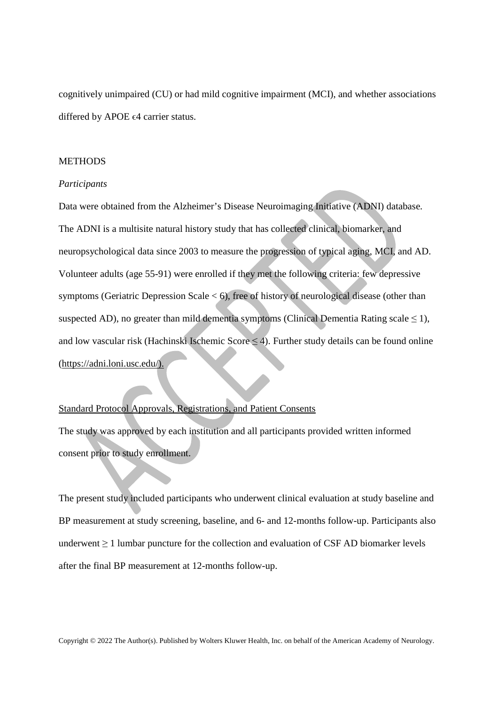cognitively unimpaired (CU) or had mild cognitive impairment (MCI), and whether associations differed by APOE  $\epsilon$ 4 carrier status.

### **METHODS**

### *Participants*

Data were obtained from the Alzheimer's Disease Neuroimaging Initiative (ADNI) database. The ADNI is a multisite natural history study that has collected clinical, biomarker, and neuropsychological data since 2003 to measure the progression of typical aging, MCI, and AD. Volunteer adults (age 55-91) were enrolled if they met the following criteria: few depressive symptoms (Geriatric Depression Scale  $< 6$ ), free of history of neurological disease (other than suspected AD), no greater than mild dementia symptoms (Clinical Dementia Rating scale  $\leq$  1), and low vascular risk (Hachinski Ischemic Score  $\leq$  4). Further study details can be found online (https://adni.loni.usc.edu/).

# Standard Protocol Approvals, Registrations, and Patient Consents

The study was approved by each institution and all participants provided written informed consent prior to study enrollment.

The present study included participants who underwent clinical evaluation at study baseline and BP measurement at study screening, baseline, and 6- and 12-months follow-up. Participants also underwent  $\geq 1$  lumbar puncture for the collection and evaluation of CSF AD biomarker levels after the final BP measurement at 12-months follow-up.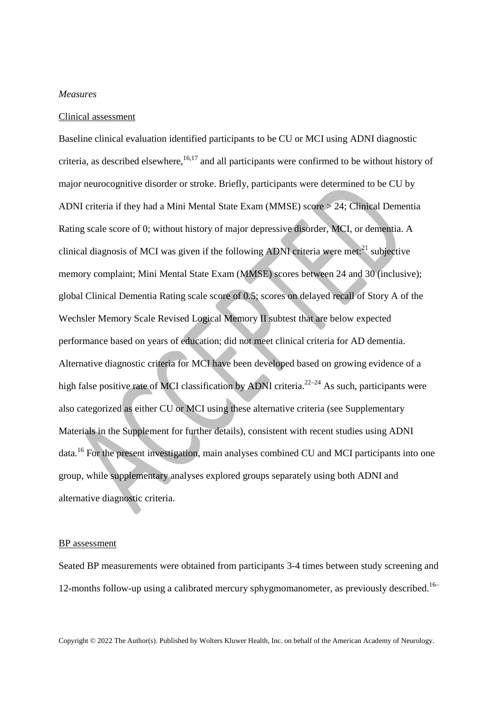#### *Measures*

### Clinical assessment

Baseline clinical evaluation identified participants to be CU or MCI using ADNI diagnostic criteria, as described elsewhere, $16,17$  and all participants were confirmed to be without history of major neurocognitive disorder or stroke. Briefly, participants were determined to be CU by ADNI criteria if they had a Mini Mental State Exam (MMSE) score > 24; Clinical Dementia Rating scale score of 0; without history of major depressive disorder, MCI, or dementia. A clinical diagnosis of MCI was given if the following ADNI criteria were met: $^{21}$  subjective memory complaint; Mini Mental State Exam (MMSE) scores between 24 and 30 (inclusive); global Clinical Dementia Rating scale score of 0.5; scores on delayed recall of Story A of the Wechsler Memory Scale Revised Logical Memory II subtest that are below expected performance based on years of education; did not meet clinical criteria for AD dementia. Alternative diagnostic criteria for MCI have been developed based on growing evidence of a high false positive rate of MCI classification by ADNI criteria.<sup>22–24</sup> As such, participants were also categorized as either CU or MCI using these alternative criteria (see Supplementary Materials in the Supplement for further details), consistent with recent studies using ADNI data.<sup>16</sup> For the present investigation, main analyses combined CU and MCI participants into one group, while supplementary analyses explored groups separately using both ADNI and alternative diagnostic criteria.

#### BP assessment

Seated BP measurements were obtained from participants 3-4 times between study screening and 12-months follow-up using a calibrated mercury sphygmomanometer, as previously described.<sup>16–</sup>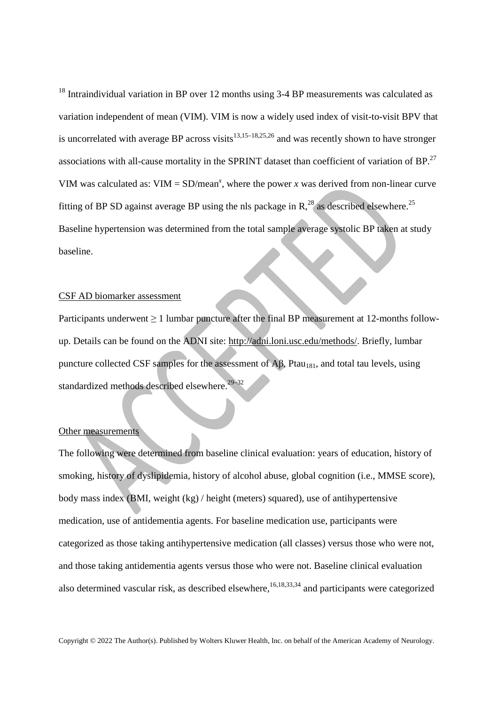<sup>18</sup> Intraindividual variation in BP over 12 months using 3-4 BP measurements was calculated as variation independent of mean (VIM). VIM is now a widely used index of visit-to-visit BPV that is uncorrelated with average BP across visits<sup>13,15–18,25,26</sup> and was recently shown to have stronger associations with all-cause mortality in the SPRINT dataset than coefficient of variation of BP. $^{27}$ VIM was calculated as:  $VIM = SD/mean^x$ , where the power *x* was derived from non-linear curve fitting of BP SD against average BP using the nls package in R,<sup>28</sup> as described elsewhere.<sup>25</sup> Baseline hypertension was determined from the total sample average systolic BP taken at study baseline.

## CSF AD biomarker assessment

Participants underwent  $\geq 1$  lumbar puncture after the final BP measurement at 12-months followup. Details can be found on the ADNI site: http://adni.loni.usc.edu/methods/. Briefly, lumbar puncture collected CSF samples for the assessment of  $\overrightarrow{AB}$ , Ptau<sub>181</sub>, and total tau levels, using standardized methods described elsewhere.29–32

### Other measurements

The following were determined from baseline clinical evaluation: years of education, history of smoking, history of dyslipidemia, history of alcohol abuse, global cognition (i.e., MMSE score), body mass index (BMI, weight (kg) / height (meters) squared), use of antihypertensive medication, use of antidementia agents. For baseline medication use, participants were categorized as those taking antihypertensive medication (all classes) versus those who were not, and those taking antidementia agents versus those who were not. Baseline clinical evaluation also determined vascular risk, as described elsewhere,  $16,18,33,34$  and participants were categorized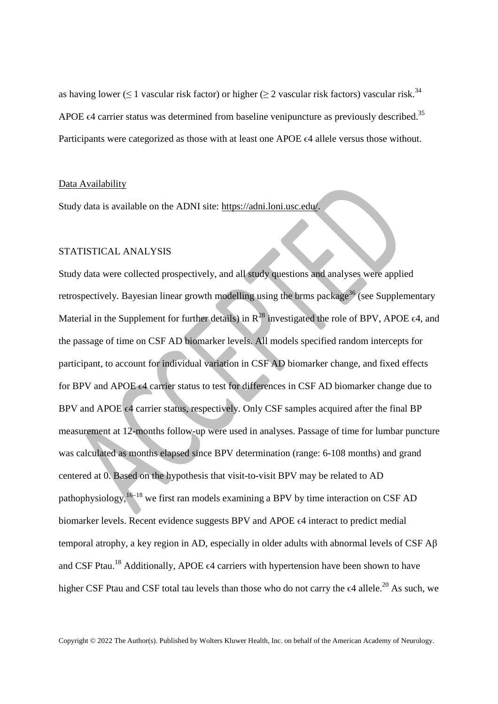as having lower ( $\leq 1$  vascular risk factor) or higher ( $\geq 2$  vascular risk factors) vascular risk.<sup>34</sup> APOE  $\epsilon$ 4 carrier status was determined from baseline venipuncture as previously described.<sup>35</sup> Participants were categorized as those with at least one APOE  $\epsilon$ 4 allele versus those without.

## Data Availability

Study data is available on the ADNI site: https://adni.loni.usc.edu/.

# STATISTICAL ANALYSIS

Study data were collected prospectively, and all study questions and analyses were applied retrospectively. Bayesian linear growth modelling using the brms package<sup>36</sup> (see Supplementary Material in the Supplement for further details) in  $R^{28}$  investigated the role of BPV, APOE  $\epsilon$ 4, and the passage of time on CSF AD biomarker levels. All models specified random intercepts for participant, to account for individual variation in CSF AD biomarker change, and fixed effects for BPV and APOE  $\epsilon$ 4 carrier status to test for differences in CSF AD biomarker change due to BPV and APOE  $\epsilon$ 4 carrier status, respectively. Only CSF samples acquired after the final BP measurement at 12-months follow-up were used in analyses. Passage of time for lumbar puncture was calculated as months elapsed since BPV determination (range: 6-108 months) and grand centered at 0. Based on the hypothesis that visit-to-visit BPV may be related to AD pathophysiology, $16-18$  we first ran models examining a BPV by time interaction on CSF AD biomarker levels. Recent evidence suggests BPV and APOE ϵ4 interact to predict medial temporal atrophy, a key region in AD, especially in older adults with abnormal levels of CSF Aβ and CSF Ptau.<sup>18</sup> Additionally, APOE  $\epsilon$ 4 carriers with hypertension have been shown to have higher CSF Ptau and CSF total tau levels than those who do not carry the  $\epsilon$ 4 allele.<sup>20</sup> As such, we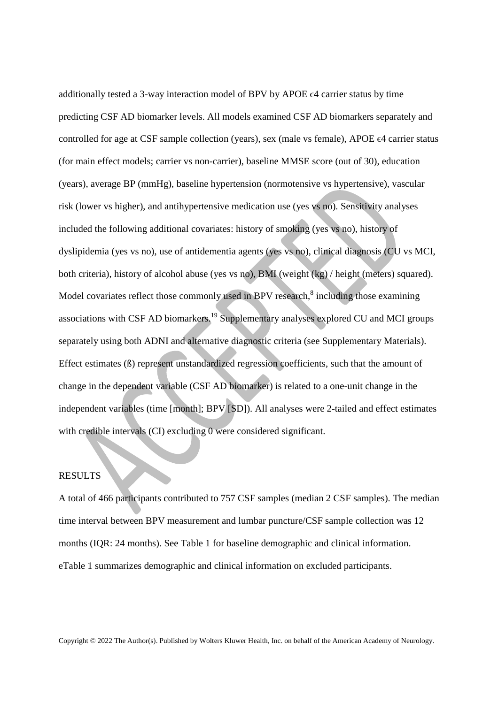additionally tested a 3-way interaction model of BPV by APOE ϵ4 carrier status by time predicting CSF AD biomarker levels. All models examined CSF AD biomarkers separately and controlled for age at CSF sample collection (years), sex (male vs female), APOE  $\epsilon$ 4 carrier status (for main effect models; carrier vs non-carrier), baseline MMSE score (out of 30), education (years), average BP (mmHg), baseline hypertension (normotensive vs hypertensive), vascular risk (lower vs higher), and antihypertensive medication use (yes vs no). Sensitivity analyses included the following additional covariates: history of smoking (yes vs no), history of dyslipidemia (yes vs no), use of antidementia agents (yes vs no), clinical diagnosis (CU vs MCI, both criteria), history of alcohol abuse (yes vs no), BMI (weight (kg) / height (meters) squared). Model covariates reflect those commonly used in BPV research, $8$  including those examining associations with CSF AD biomarkers.<sup>19</sup> Supplementary analyses explored CU and MCI groups separately using both ADNI and alternative diagnostic criteria (see Supplementary Materials). Effect estimates (ß) represent unstandardized regression coefficients, such that the amount of change in the dependent variable (CSF AD biomarker) is related to a one-unit change in the independent variables (time [month]; BPV [SD]). All analyses were 2-tailed and effect estimates with credible intervals (CI) excluding 0 were considered significant.

# RESULTS

A total of 466 participants contributed to 757 CSF samples (median 2 CSF samples). The median time interval between BPV measurement and lumbar puncture/CSF sample collection was 12 months (IQR: 24 months). See Table 1 for baseline demographic and clinical information. eTable 1 summarizes demographic and clinical information on excluded participants.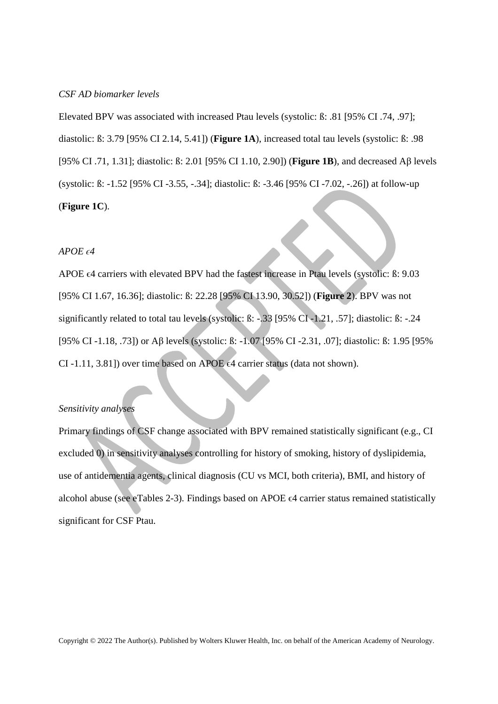#### *CSF AD biomarker levels*

Elevated BPV was associated with increased Ptau levels (systolic: ß: .81 [95% CI .74, .97]; diastolic: ß: 3.79 [95% CI 2.14, 5.41]) (**Figure 1A**), increased total tau levels (systolic: ß: .98 [95% CI .71, 1.31]; diastolic: ß: 2.01 [95% CI 1.10, 2.90]) (**Figure 1B**), and decreased Aβ levels (systolic: ß: -1.52 [95% CI -3.55, -.34]; diastolic: ß: -3.46 [95% CI -7.02, -.26]) at follow-up (**Figure 1C**).

## $APOE \epsilon 4$

APOE  $\epsilon$ 4 carriers with elevated BPV had the fastest increase in Ptau levels (systolic: ß: 9.03 [95% CI 1.67, 16.36]; diastolic: ß: 22.28 [95% CI 13.90, 30.52]) (**Figure 2**). BPV was not significantly related to total tau levels (systolic: ß: -.33 [95% CI -1.21, .57]; diastolic: ß: -.24 [95% CI -1.18, .73]) or Aβ levels (systolic: ß: -1.07 [95% CI -2.31, .07]; diastolic: ß: 1.95 [95% CI -1.11, 3.81]) over time based on APOE  $\epsilon$ 4 carrier status (data not shown).

### *Sensitivity analyses*

Primary findings of CSF change associated with BPV remained statistically significant (e.g., CI excluded 0) in sensitivity analyses controlling for history of smoking, history of dyslipidemia, use of antidementia agents, clinical diagnosis (CU vs MCI, both criteria), BMI, and history of alcohol abuse (see eTables 2-3). Findings based on APOE  $\epsilon$ 4 carrier status remained statistically significant for CSF Ptau.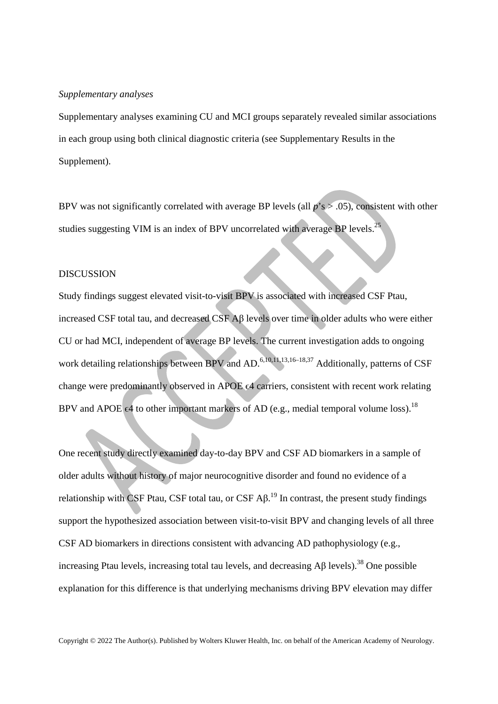#### *Supplementary analyses*

Supplementary analyses examining CU and MCI groups separately revealed similar associations in each group using both clinical diagnostic criteria (see Supplementary Results in the Supplement).

BPV was not significantly correlated with average BP levels (all  $p$ 's  $> .05$ ), consistent with other studies suggesting VIM is an index of BPV uncorrelated with average BP levels.<sup>25</sup>

### DISCUSSION

Study findings suggest elevated visit-to-visit BPV is associated with increased CSF Ptau, increased CSF total tau, and decreased CSF Aβ levels over time in older adults who were either CU or had MCI, independent of average BP levels. The current investigation adds to ongoing work detailing relationships between BPV and AD.<sup>6,10,11,13,16–18,37</sup> Additionally, patterns of CSF change were predominantly observed in APOE ϵ4 carriers, consistent with recent work relating BPV and APOE  $\epsilon$ 4 to other important markers of AD (e.g., medial temporal volume loss).<sup>18</sup>

One recent study directly examined day-to-day BPV and CSF AD biomarkers in a sample of older adults without history of major neurocognitive disorder and found no evidence of a relationship with CSF Ptau, CSF total tau, or CSF  $\mathsf{AB}^{19}$  In contrast, the present study findings support the hypothesized association between visit-to-visit BPV and changing levels of all three CSF AD biomarkers in directions consistent with advancing AD pathophysiology (e.g., increasing Ptau levels, increasing total tau levels, and decreasing  $\text{AB}$  levels).<sup>38</sup> One possible explanation for this difference is that underlying mechanisms driving BPV elevation may differ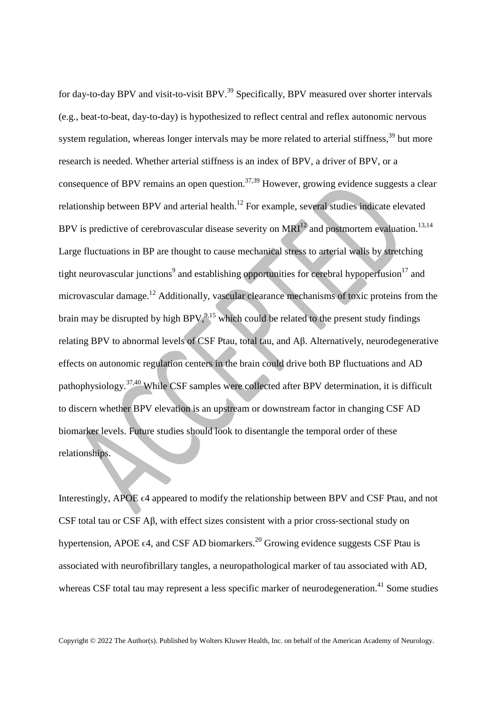for day-to-day BPV and visit-to-visit BPV.<sup>39</sup> Specifically, BPV measured over shorter intervals (e.g., beat-to-beat, day-to-day) is hypothesized to reflect central and reflex autonomic nervous system regulation, whereas longer intervals may be more related to arterial stiffness,<sup>39</sup> but more research is needed. Whether arterial stiffness is an index of BPV, a driver of BPV, or a consequence of BPV remains an open question.<sup>37,39</sup> However, growing evidence suggests a clear relationship between BPV and arterial health.<sup>12</sup> For example, several studies indicate elevated BPV is predictive of cerebrovascular disease severity on  $MRI<sup>12</sup>$  and postmortem evaluation.<sup>13,14</sup> Large fluctuations in BP are thought to cause mechanical stress to arterial walls by stretching tight neurovascular junctions<sup>9</sup> and establishing opportunities for cerebral hypoperfusion<sup>17</sup> and microvascular damage.<sup>12</sup> Additionally, vascular clearance mechanisms of toxic proteins from the brain may be disrupted by high BPV,  $9,15$  which could be related to the present study findings relating BPV to abnormal levels of CSF Ptau, total tau, and Aβ. Alternatively, neurodegenerative effects on autonomic regulation centers in the brain could drive both BP fluctuations and AD pathophysiology.37,40 While CSF samples were collected after BPV determination, it is difficult to discern whether BPV elevation is an upstream or downstream factor in changing CSF AD biomarker levels. Future studies should look to disentangle the temporal order of these relationships.

Interestingly, APOE  $\epsilon$ 4 appeared to modify the relationship between BPV and CSF Ptau, and not CSF total tau or CSF Aβ, with effect sizes consistent with a prior cross-sectional study on hypertension, APOE  $\epsilon$ 4, and CSF AD biomarkers.<sup>20</sup> Growing evidence suggests CSF Ptau is associated with neurofibrillary tangles, a neuropathological marker of tau associated with AD, whereas CSF total tau may represent a less specific marker of neurodegeneration.<sup>41</sup> Some studies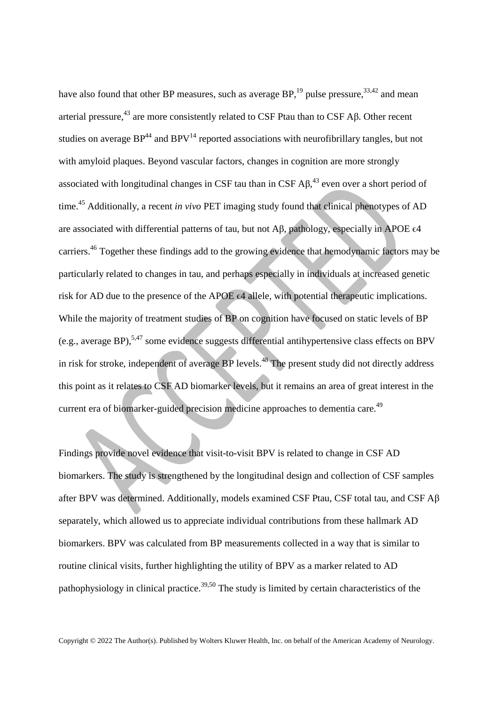have also found that other BP measures, such as average  $BP<sub>19</sub><sup>19</sup>$  pulse pressure,<sup>33,42</sup> and mean arterial pressure,<sup>43</sup> are more consistently related to CSF Ptau than to CSF Aβ. Other recent studies on average  $BP^{44}$  and  $BPV^{14}$  reported associations with neurofibrillary tangles, but not with amyloid plaques. Beyond vascular factors, changes in cognition are more strongly associated with longitudinal changes in CSF tau than in CSF  $A\beta$ ,<sup>43</sup> even over a short period of time.<sup>45</sup> Additionally, a recent *in vivo* PET imaging study found that clinical phenotypes of AD are associated with differential patterns of tau, but not A $\beta$ , pathology, especially in APOE  $\epsilon$ 4 carriers.<sup>46</sup> Together these findings add to the growing evidence that hemodynamic factors may be particularly related to changes in tau, and perhaps especially in individuals at increased genetic risk for AD due to the presence of the APOE ∈4 allele, with potential therapeutic implications. While the majority of treatment studies of BP on cognition have focused on static levels of BP (e.g., average BP),<sup>5,47</sup> some evidence suggests differential antihypertensive class effects on BPV in risk for stroke, independent of average BP levels.<sup>48</sup> The present study did not directly address this point as it relates to CSF AD biomarker levels, but it remains an area of great interest in the current era of biomarker-guided precision medicine approaches to dementia care.<sup>49</sup>

Findings provide novel evidence that visit-to-visit BPV is related to change in CSF AD biomarkers. The study is strengthened by the longitudinal design and collection of CSF samples after BPV was determined. Additionally, models examined CSF Ptau, CSF total tau, and CSF Aβ separately, which allowed us to appreciate individual contributions from these hallmark AD biomarkers. BPV was calculated from BP measurements collected in a way that is similar to routine clinical visits, further highlighting the utility of BPV as a marker related to AD pathophysiology in clinical practice.<sup>39,50</sup> The study is limited by certain characteristics of the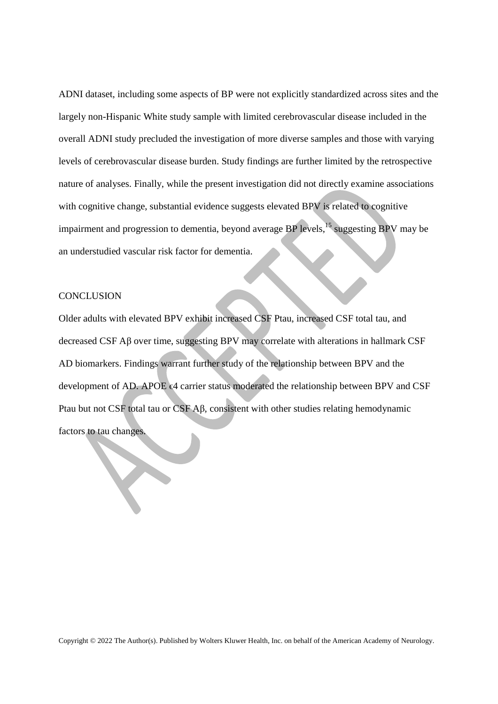ADNI dataset, including some aspects of BP were not explicitly standardized across sites and the largely non-Hispanic White study sample with limited cerebrovascular disease included in the overall ADNI study precluded the investigation of more diverse samples and those with varying levels of cerebrovascular disease burden. Study findings are further limited by the retrospective nature of analyses. Finally, while the present investigation did not directly examine associations with cognitive change, substantial evidence suggests elevated BPV is related to cognitive impairment and progression to dementia, beyond average BP levels,  $^{15}$  suggesting BPV may be an understudied vascular risk factor for dementia.

#### **CONCLUSION**

Older adults with elevated BPV exhibit increased CSF Ptau, increased CSF total tau, and decreased CSF Aβ over time, suggesting BPV may correlate with alterations in hallmark CSF AD biomarkers. Findings warrant further study of the relationship between BPV and the development of AD. APOE ∈4 carrier status moderated the relationship between BPV and CSF Ptau but not CSF total tau or CSF Aβ, consistent with other studies relating hemodynamic factors to tau changes.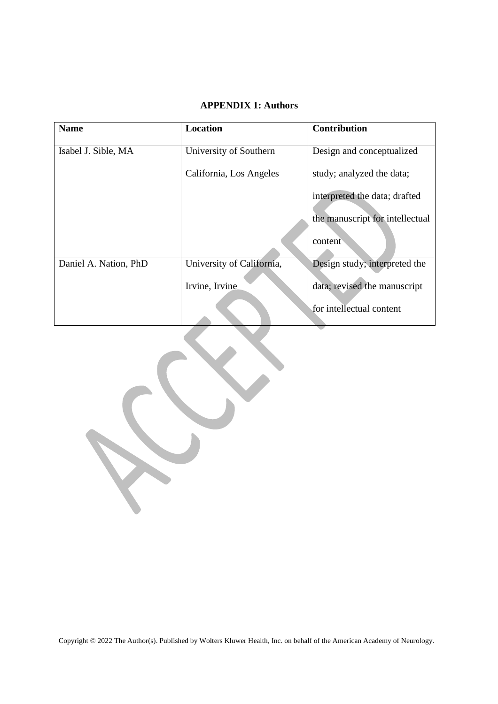# **APPENDIX 1: Authors**

| <b>Name</b>           | <b>Location</b>           | <b>Contribution</b>             |
|-----------------------|---------------------------|---------------------------------|
| Isabel J. Sible, MA   | University of Southern    | Design and conceptualized       |
|                       | California, Los Angeles   | study; analyzed the data;       |
|                       |                           | interpreted the data; drafted   |
|                       |                           | the manuscript for intellectual |
|                       |                           | content                         |
| Daniel A. Nation, PhD | University of California, | Design study; interpreted the   |
|                       | Irvine, Irvine            | data; revised the manuscript    |
|                       |                           | for intellectual content        |

 $\overline{\phantom{0}}$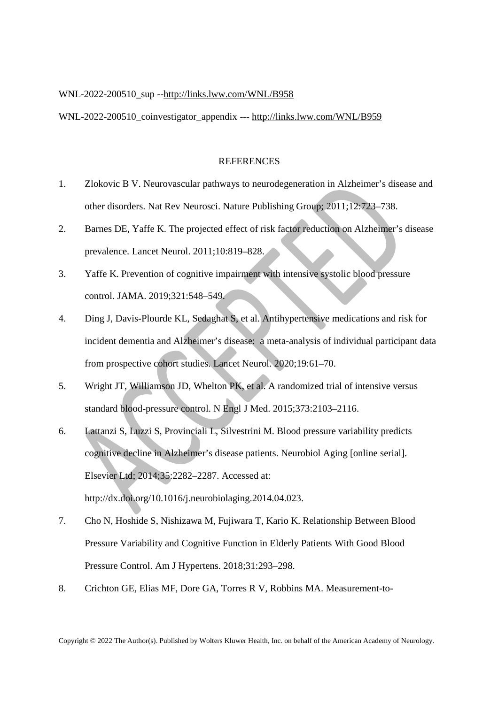### WNL-2022-200510\_sup --http://links.lww.com/WNL/B958

WNL-2022-200510\_coinvestigator\_appendix --- http://links.lww.com/WNL/B959

### **REFERENCES**

- 1. Zlokovic B V. Neurovascular pathways to neurodegeneration in Alzheimer's disease and other disorders. Nat Rev Neurosci. Nature Publishing Group; 2011;12:723–738.
- 2. Barnes DE, Yaffe K. The projected effect of risk factor reduction on Alzheimer's disease prevalence. Lancet Neurol. 2011;10:819–828.
- 3. Yaffe K. Prevention of cognitive impairment with intensive systolic blood pressure control. JAMA. 2019;321:548–549.
- 4. Ding J, Davis-Plourde KL, Sedaghat S, et al. Antihypertensive medications and risk for incident dementia and Alzheimer's disease: a meta-analysis of individual participant data from prospective cohort studies. Lancet Neurol. 2020;19:61–70.
- 5. Wright JT, Williamson JD, Whelton PK, et al. A randomized trial of intensive versus standard blood-pressure control. N Engl J Med. 2015;373:2103–2116.
- 6. Lattanzi S, Luzzi S, Provinciali L, Silvestrini M. Blood pressure variability predicts cognitive decline in Alzheimer's disease patients. Neurobiol Aging [online serial]. Elsevier Ltd; 2014;35:2282–2287. Accessed at: http://dx.doi.org/10.1016/j.neurobiolaging.2014.04.023.
- 7. Cho N, Hoshide S, Nishizawa M, Fujiwara T, Kario K. Relationship Between Blood Pressure Variability and Cognitive Function in Elderly Patients With Good Blood Pressure Control. Am J Hypertens. 2018;31:293–298.
- 8. Crichton GE, Elias MF, Dore GA, Torres R V, Robbins MA. Measurement-to-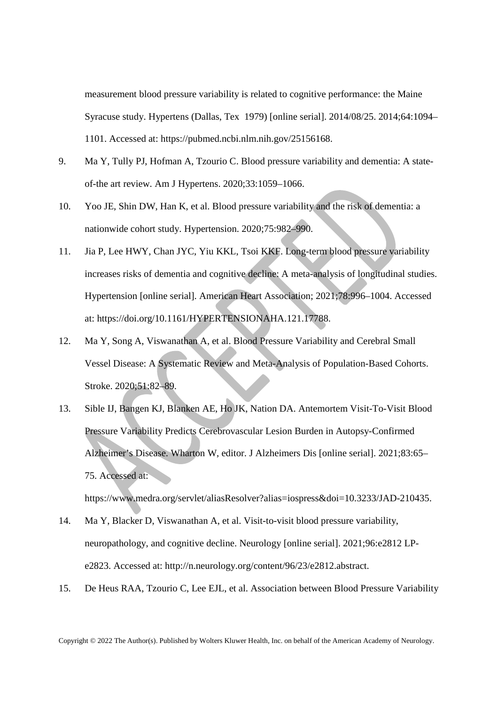measurement blood pressure variability is related to cognitive performance: the Maine Syracuse study. Hypertens (Dallas, Tex 1979) [online serial]. 2014/08/25. 2014;64:1094– 1101. Accessed at: https://pubmed.ncbi.nlm.nih.gov/25156168.

- 9. Ma Y, Tully PJ, Hofman A, Tzourio C. Blood pressure variability and dementia: A stateof-the art review. Am J Hypertens. 2020;33:1059–1066.
- 10. Yoo JE, Shin DW, Han K, et al. Blood pressure variability and the risk of dementia: a nationwide cohort study. Hypertension. 2020;75:982–990.
- 11. Jia P, Lee HWY, Chan JYC, Yiu KKL, Tsoi KKF. Long-term blood pressure variability increases risks of dementia and cognitive decline: A meta-analysis of longitudinal studies. Hypertension [online serial]. American Heart Association; 2021;78:996–1004. Accessed at: https://doi.org/10.1161/HYPERTENSIONAHA.121.17788.
- 12. Ma Y, Song A, Viswanathan A, et al. Blood Pressure Variability and Cerebral Small Vessel Disease: A Systematic Review and Meta-Analysis of Population-Based Cohorts. Stroke. 2020;51:82–89.
- 13. Sible IJ, Bangen KJ, Blanken AE, Ho JK, Nation DA. Antemortem Visit-To-Visit Blood Pressure Variability Predicts Cerebrovascular Lesion Burden in Autopsy-Confirmed Alzheimer's Disease. Wharton W, editor. J Alzheimers Dis [online serial]. 2021;83:65– 75. Accessed at:

https://www.medra.org/servlet/aliasResolver?alias=iospress&doi=10.3233/JAD-210435.

- 14. Ma Y, Blacker D, Viswanathan A, et al. Visit-to-visit blood pressure variability, neuropathology, and cognitive decline. Neurology [online serial]. 2021;96:e2812 LPe2823. Accessed at: http://n.neurology.org/content/96/23/e2812.abstract.
- 15. De Heus RAA, Tzourio C, Lee EJL, et al. Association between Blood Pressure Variability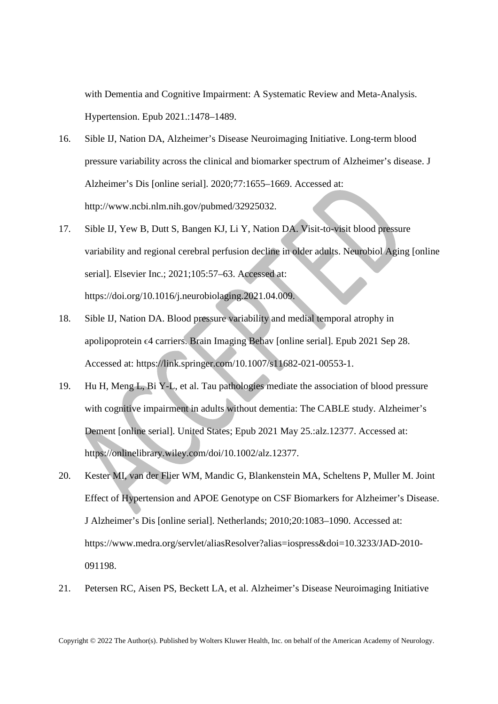with Dementia and Cognitive Impairment: A Systematic Review and Meta-Analysis. Hypertension. Epub 2021.:1478–1489.

- 16. Sible IJ, Nation DA, Alzheimer's Disease Neuroimaging Initiative. Long-term blood pressure variability across the clinical and biomarker spectrum of Alzheimer's disease. J Alzheimer's Dis [online serial]. 2020;77:1655–1669. Accessed at: http://www.ncbi.nlm.nih.gov/pubmed/32925032.
- 17. Sible IJ, Yew B, Dutt S, Bangen KJ, Li Y, Nation DA. Visit-to-visit blood pressure variability and regional cerebral perfusion decline in older adults. Neurobiol Aging [online serial]. Elsevier Inc.; 2021;105:57–63. Accessed at: https://doi.org/10.1016/j.neurobiolaging.2021.04.009.
- 18. Sible IJ, Nation DA. Blood pressure variability and medial temporal atrophy in apolipoprotein ϵ4 carriers. Brain Imaging Behav [online serial]. Epub 2021 Sep 28. Accessed at: https://link.springer.com/10.1007/s11682-021-00553-1.
- 19. Hu H, Meng L, Bi Y-L, et al. Tau pathologies mediate the association of blood pressure with cognitive impairment in adults without dementia: The CABLE study. Alzheimer's Dement [online serial]. United States; Epub 2021 May 25.:alz.12377. Accessed at: https://onlinelibrary.wiley.com/doi/10.1002/alz.12377.
- 20. Kester MI, van der Flier WM, Mandic G, Blankenstein MA, Scheltens P, Muller M. Joint Effect of Hypertension and APOE Genotype on CSF Biomarkers for Alzheimer's Disease. J Alzheimer's Dis [online serial]. Netherlands; 2010;20:1083–1090. Accessed at: https://www.medra.org/servlet/aliasResolver?alias=iospress&doi=10.3233/JAD-2010- 091198.
- 21. Petersen RC, Aisen PS, Beckett LA, et al. Alzheimer's Disease Neuroimaging Initiative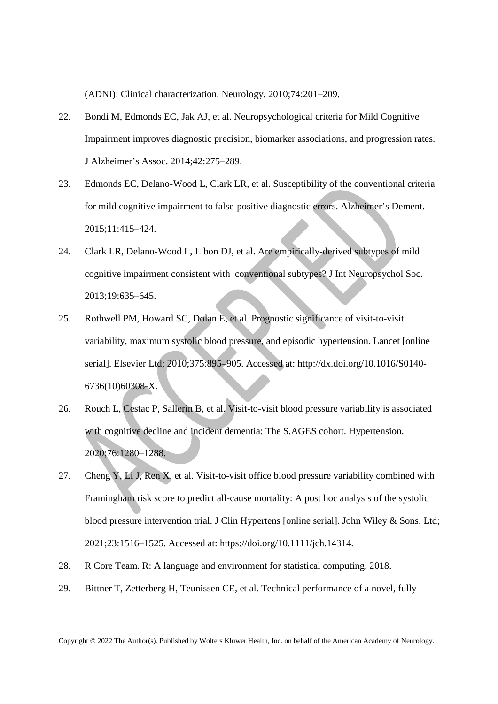(ADNI): Clinical characterization. Neurology. 2010;74:201–209.

- 22. Bondi M, Edmonds EC, Jak AJ, et al. Neuropsychological criteria for Mild Cognitive Impairment improves diagnostic precision, biomarker associations, and progression rates. J Alzheimer's Assoc. 2014;42:275–289.
- 23. Edmonds EC, Delano-Wood L, Clark LR, et al. Susceptibility of the conventional criteria for mild cognitive impairment to false-positive diagnostic errors. Alzheimer's Dement. 2015;11:415–424.
- 24. Clark LR, Delano-Wood L, Libon DJ, et al. Are empirically-derived subtypes of mild cognitive impairment consistent with conventional subtypes? J Int Neuropsychol Soc. 2013;19:635–645.
- 25. Rothwell PM, Howard SC, Dolan E, et al. Prognostic significance of visit-to-visit variability, maximum systolic blood pressure, and episodic hypertension. Lancet [online serial]. Elsevier Ltd; 2010;375:895–905. Accessed at: http://dx.doi.org/10.1016/S0140- 6736(10)60308-X.
- 26. Rouch L, Cestac P, Sallerin B, et al. Visit-to-visit blood pressure variability is associated with cognitive decline and incident dementia: The S.AGES cohort. Hypertension. 2020;76:1280–1288.
- 27. Cheng Y, Li J, Ren X, et al. Visit-to-visit office blood pressure variability combined with Framingham risk score to predict all-cause mortality: A post hoc analysis of the systolic blood pressure intervention trial. J Clin Hypertens [online serial]. John Wiley & Sons, Ltd; 2021;23:1516–1525. Accessed at: https://doi.org/10.1111/jch.14314.
- 28. R Core Team. R: A language and environment for statistical computing. 2018.
- 29. Bittner T, Zetterberg H, Teunissen CE, et al. Technical performance of a novel, fully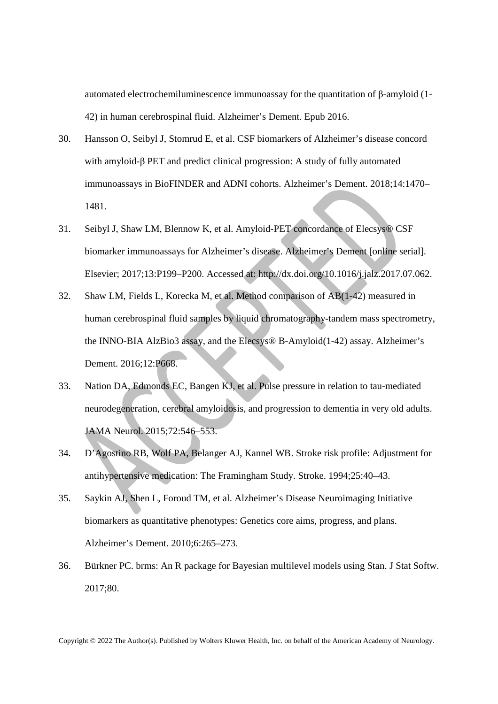automated electrochemiluminescence immunoassay for the quantitation of β-amyloid (1- 42) in human cerebrospinal fluid. Alzheimer's Dement. Epub 2016.

- 30. Hansson O, Seibyl J, Stomrud E, et al. CSF biomarkers of Alzheimer's disease concord with amyloid-β PET and predict clinical progression: A study of fully automated immunoassays in BioFINDER and ADNI cohorts. Alzheimer's Dement. 2018;14:1470– 1481.
- 31. Seibyl J, Shaw LM, Blennow K, et al. Amyloid-PET concordance of Elecsys® CSF biomarker immunoassays for Alzheimer's disease. Alzheimer's Dement [online serial]. Elsevier; 2017;13:P199–P200. Accessed at: http://dx.doi.org/10.1016/j.jalz.2017.07.062.
- 32. Shaw LM, Fields L, Korecka M, et al. Method comparison of AB(1-42) measured in human cerebrospinal fluid samples by liquid chromatography-tandem mass spectrometry, the INNO-BIA AlzBio3 assay, and the Elecsys® B-Amyloid(1-42) assay. Alzheimer's Dement. 2016;12:P668.
- 33. Nation DA, Edmonds EC, Bangen KJ, et al. Pulse pressure in relation to tau-mediated neurodegeneration, cerebral amyloidosis, and progression to dementia in very old adults. JAMA Neurol. 2015;72:546–553.
- 34. D'Agostino RB, Wolf PA, Belanger AJ, Kannel WB. Stroke risk profile: Adjustment for antihypertensive medication: The Framingham Study. Stroke. 1994;25:40–43.
- 35. Saykin AJ, Shen L, Foroud TM, et al. Alzheimer's Disease Neuroimaging Initiative biomarkers as quantitative phenotypes: Genetics core aims, progress, and plans. Alzheimer's Dement. 2010;6:265–273.
- 36. Bürkner PC. brms: An R package for Bayesian multilevel models using Stan. J Stat Softw. 2017;80.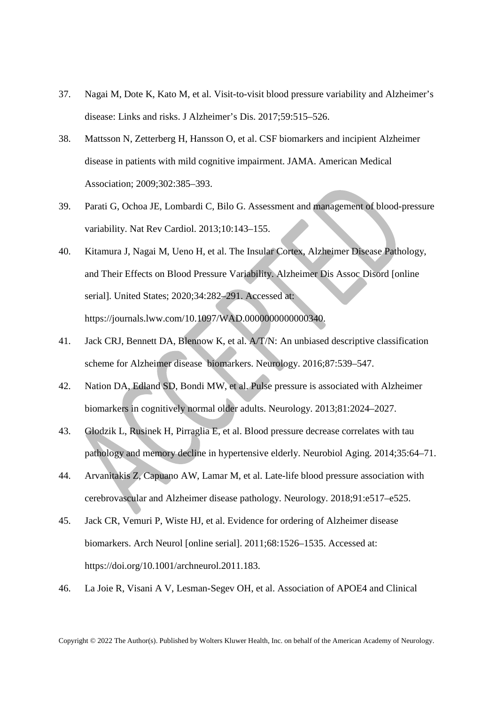- 37. Nagai M, Dote K, Kato M, et al. Visit-to-visit blood pressure variability and Alzheimer's disease: Links and risks. J Alzheimer's Dis. 2017;59:515–526.
- 38. Mattsson N, Zetterberg H, Hansson O, et al. CSF biomarkers and incipient Alzheimer disease in patients with mild cognitive impairment. JAMA. American Medical Association; 2009;302:385–393.
- 39. Parati G, Ochoa JE, Lombardi C, Bilo G. Assessment and management of blood-pressure variability. Nat Rev Cardiol. 2013;10:143–155.
- 40. Kitamura J, Nagai M, Ueno H, et al. The Insular Cortex, Alzheimer Disease Pathology, and Their Effects on Blood Pressure Variability. Alzheimer Dis Assoc Disord [online serial]. United States; 2020;34:282–291. Accessed at: https://journals.lww.com/10.1097/WAD.0000000000000340.
- 41. Jack CRJ, Bennett DA, Blennow K, et al. A/T/N: An unbiased descriptive classification scheme for Alzheimer disease biomarkers. Neurology. 2016;87:539–547.
- 42. Nation DA, Edland SD, Bondi MW, et al. Pulse pressure is associated with Alzheimer biomarkers in cognitively normal older adults. Neurology. 2013;81:2024–2027.
- 43. Glodzik L, Rusinek H, Pirraglia E, et al. Blood pressure decrease correlates with tau pathology and memory decline in hypertensive elderly. Neurobiol Aging. 2014;35:64–71.
- 44. Arvanitakis Z, Capuano AW, Lamar M, et al. Late-life blood pressure association with cerebrovascular and Alzheimer disease pathology. Neurology. 2018;91:e517–e525.
- 45. Jack CR, Vemuri P, Wiste HJ, et al. Evidence for ordering of Alzheimer disease biomarkers. Arch Neurol [online serial]. 2011;68:1526–1535. Accessed at: https://doi.org/10.1001/archneurol.2011.183.
- 46. La Joie R, Visani A V, Lesman-Segev OH, et al. Association of APOE4 and Clinical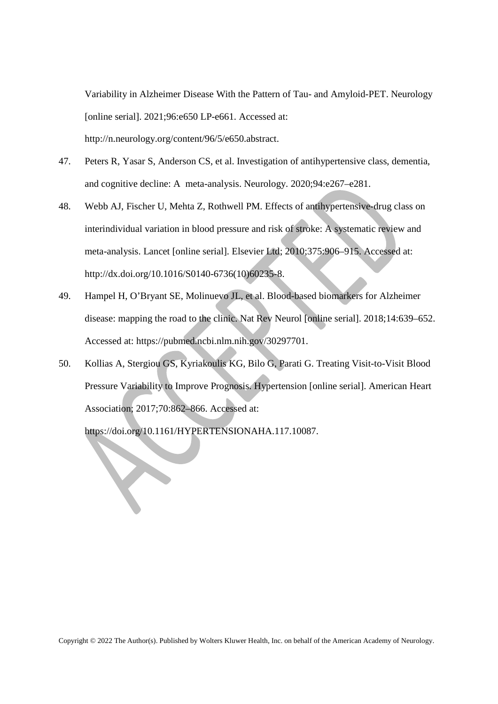Variability in Alzheimer Disease With the Pattern of Tau- and Amyloid-PET. Neurology [online serial]. 2021;96:e650 LP-e661. Accessed at: http://n.neurology.org/content/96/5/e650.abstract.

- 47. Peters R, Yasar S, Anderson CS, et al. Investigation of antihypertensive class, dementia, and cognitive decline: A meta-analysis. Neurology. 2020;94:e267–e281.
- 48. Webb AJ, Fischer U, Mehta Z, Rothwell PM. Effects of antihypertensive-drug class on interindividual variation in blood pressure and risk of stroke: A systematic review and meta-analysis. Lancet [online serial]. Elsevier Ltd; 2010;375:906–915. Accessed at: http://dx.doi.org/10.1016/S0140-6736(10)60235-8.
- 49. Hampel H, O'Bryant SE, Molinuevo JL, et al. Blood-based biomarkers for Alzheimer disease: mapping the road to the clinic. Nat Rev Neurol [online serial]. 2018;14:639–652. Accessed at: https://pubmed.ncbi.nlm.nih.gov/30297701.
- 50. Kollias A, Stergiou GS, Kyriakoulis KG, Bilo G, Parati G. Treating Visit-to-Visit Blood Pressure Variability to Improve Prognosis. Hypertension [online serial]. American Heart Association; 2017;70:862–866. Accessed at:

https://doi.org/10.1161/HYPERTENSIONAHA.117.10087.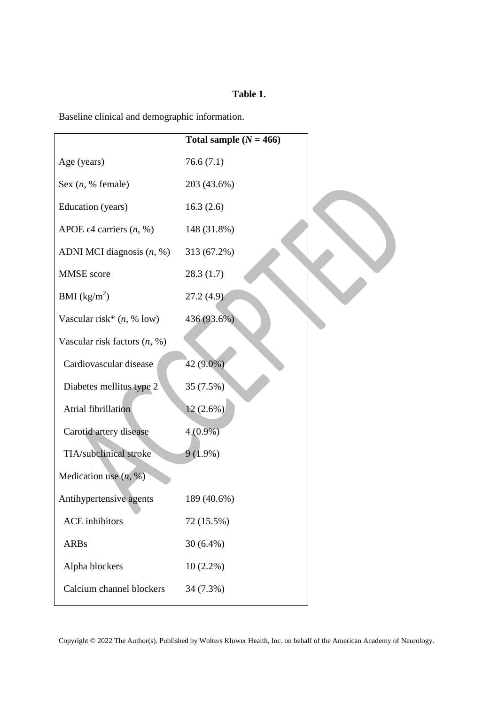# **Table 1.**

Baseline clinical and demographic information.

|                                     | Total sample $(N = 466)$ |
|-------------------------------------|--------------------------|
| Age (years)                         | 76.6(7.1)                |
| Sex $(n, %$ female)                 | 203 (43.6%)              |
| Education (years)                   | 16.3(2.6)                |
| APOE $\epsilon$ 4 carriers $(n, %)$ | 148 (31.8%)              |
| ADNI MCI diagnosis $(n, %)$         | 313 (67.2%)              |
| <b>MMSE</b> score                   | 28.3(1.7)                |
| BMI $(kg/m^2)$                      | 27.2(4.9)                |
| Vascular risk* $(n, % 10w)$         | 436 (93.6%)              |
| Vascular risk factors $(n, %)$      |                          |
| Cardiovascular disease              | 42 (9.0%)                |
| Diabetes mellitus type 2            | 35 (7.5%)                |
| Atrial fibrillation                 | $12(2.6\%)$              |
| Carotid artery disease              | $4(0.9\%)$               |
| TIA/subclinical stroke              | $9(1.9\%)$               |
| Medication use $(n, %)$             |                          |
| Antihypertensive agents             | 189 (40.6%)              |
| <b>ACE</b> inhibitors               | 72 (15.5%)               |
| <b>ARBs</b>                         | $30(6.4\%)$              |
| Alpha blockers                      | $10(2.2\%)$              |
| Calcium channel blockers            | 34 (7.3%)                |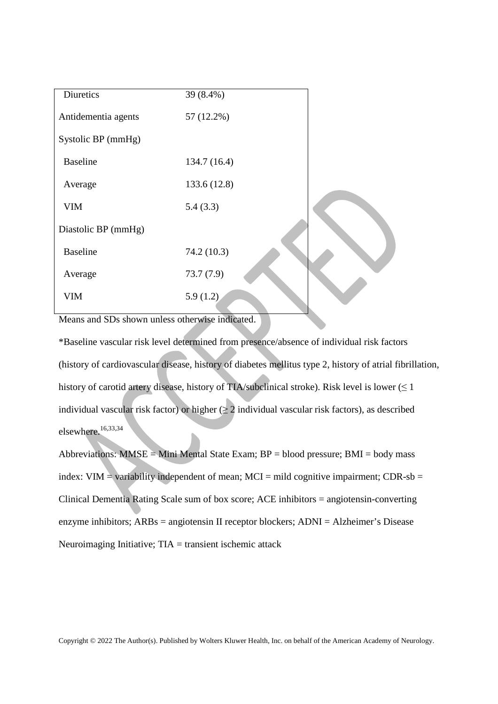| Diuretics           | 39 (8.4%)    |  |
|---------------------|--------------|--|
| Antidementia agents | 57 (12.2%)   |  |
| Systolic BP (mmHg)  |              |  |
| <b>Baseline</b>     | 134.7 (16.4) |  |
| Average             | 133.6 (12.8) |  |
| <b>VIM</b>          | 5.4(3.3)     |  |
| Diastolic BP (mmHg) |              |  |
| <b>Baseline</b>     | 74.2 (10.3)  |  |
| Average             | 73.7(7.9)    |  |
| <b>VIM</b>          | 5.9(1.2)     |  |

Means and SDs shown unless otherwise indicated.

\*Baseline vascular risk level determined from presence/absence of individual risk factors (history of cardiovascular disease, history of diabetes mellitus type 2, history of atrial fibrillation, history of carotid artery disease, history of TIA/subclinical stroke). Risk level is lower ( $\leq 1$ ) individual vascular risk factor) or higher  $(\geq 2)$  individual vascular risk factors), as described elsewhere.<sup>16,33,34</sup>

Abbreviations:  $MMSE = Mini$  Mental State Exam;  $BP = blood$  pressure;  $BMI = body$  mass index:  $VIM = \text{variability independent of mean}$ ;  $MCI = \text{mild cognitive impairment}$ ;  $CDR-sb =$ Clinical Dementia Rating Scale sum of box score; ACE inhibitors = angiotensin-converting enzyme inhibitors; ARBs = angiotensin II receptor blockers; ADNI = Alzheimer's Disease Neuroimaging Initiative; TIA = transient ischemic attack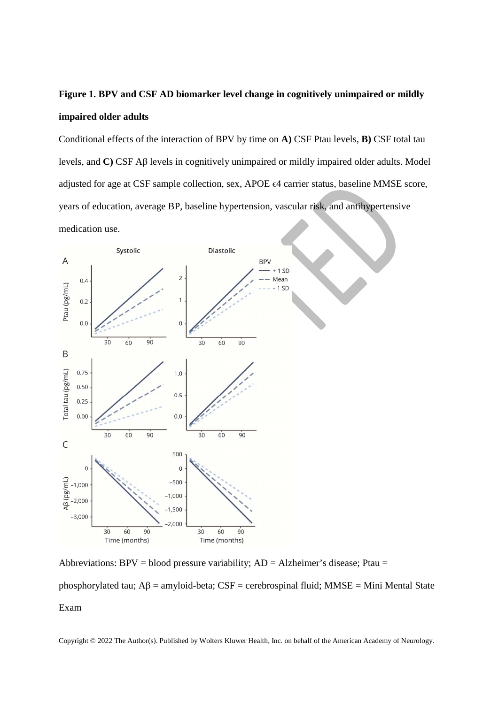# **Figure 1. BPV and CSF AD biomarker level change in cognitively unimpaired or mildly impaired older adults**

Conditional effects of the interaction of BPV by time on **A)** CSF Ptau levels, **B)** CSF total tau levels, and **C)** CSF Aβ levels in cognitively unimpaired or mildly impaired older adults. Model adjusted for age at CSF sample collection, sex, APOE ϵ4 carrier status, baseline MMSE score, years of education, average BP, baseline hypertension, vascular risk, and antihypertensive medication use.



Abbreviations: BPV = blood pressure variability;  $AD = Alzheimer's$  disease; Ptau =

phosphorylated tau;  $A\beta$  = amyloid-beta; CSF = cerebrospinal fluid; MMSE = Mini Mental State Exam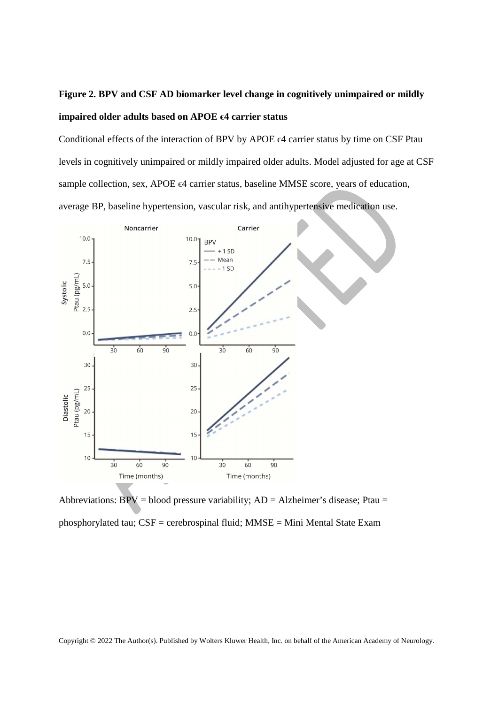# **Figure 2. BPV and CSF AD biomarker level change in cognitively unimpaired or mildly impaired older adults based on APOE ϵ4 carrier status**

Conditional effects of the interaction of BPV by APOE ϵ4 carrier status by time on CSF Ptau levels in cognitively unimpaired or mildly impaired older adults. Model adjusted for age at CSF sample collection, sex, APOE  $\epsilon$ 4 carrier status, baseline MMSE score, years of education, average BP, baseline hypertension, vascular risk, and antihypertensive medication use.



Abbreviations:  $BPV = blood pressure variability$ ;  $AD = Alzheimer's disease$ ; Ptau = phosphorylated tau; CSF = cerebrospinal fluid; MMSE = Mini Mental State Exam